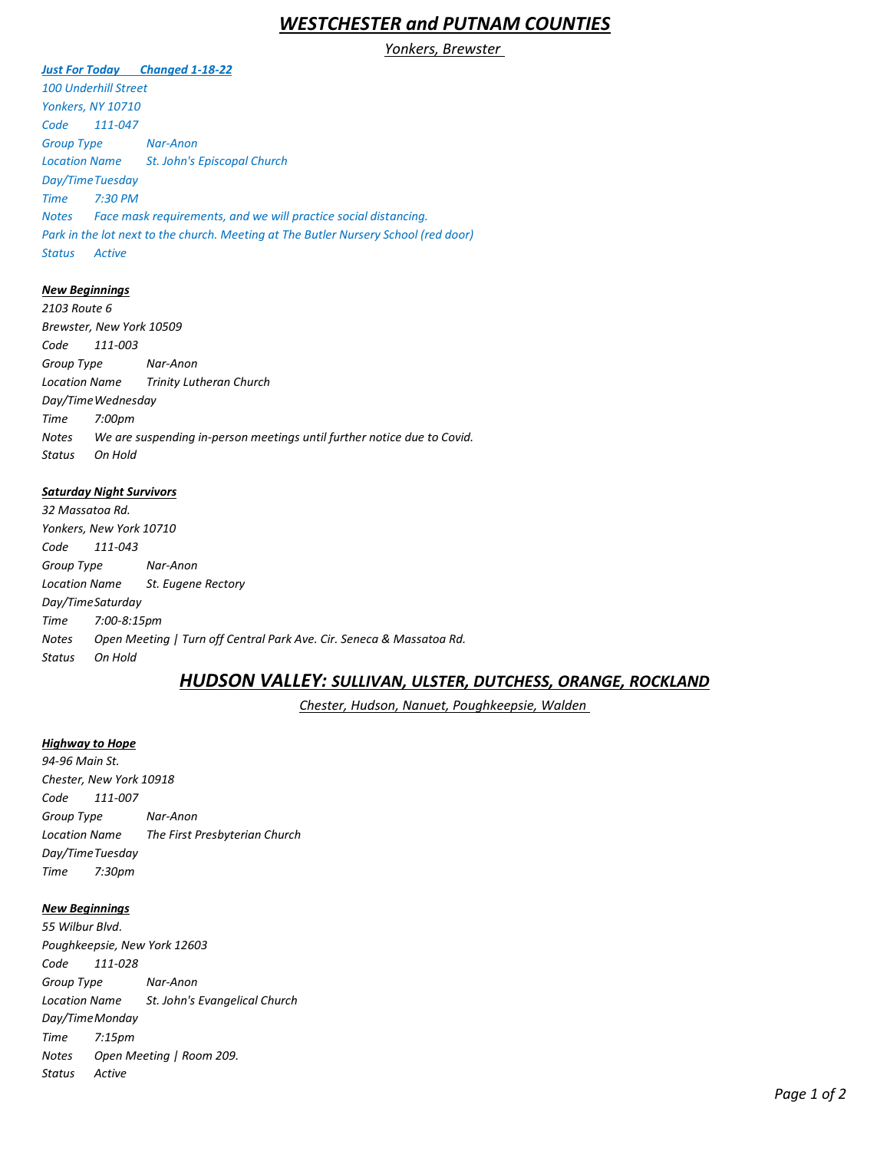# *WESTCHESTER and PUTNAM COUNTIES*

## *Yonkers, Brewster*

## *Just For Today Changed 1-18-22*

*100 Underhill Street Yonkers, NY 10710 Code 111-047 Group Type Nar-Anon Location Name St. John's Episcopal Church Day/TimeTuesday Time 7:30 PM Notes Face mask requirements, and we will practice social distancing. Park in the lot next to the church. Meeting at The Butler Nursery School (red door) Status Active* 

## *New Beginnings*

*2103 Route 6 Brewster, New York 10509 Code 111-003 Group Type Nar-Anon Location Name Trinity Lutheran Church Day/TimeWednesday Time 7:00pm Notes We are suspending in-person meetings until further notice due to Covid. Status On Hold*

#### *Saturday Night Survivors*

*32 Massatoa Rd. Yonkers, New York 10710 Code 111-043 Group Type Nar-Anon Location Name St. Eugene Rectory Day/TimeSaturday Time 7:00-8:15pm Notes Open Meeting | Turn off Central Park Ave. Cir. Seneca & Massatoa Rd. Status On Hold*

# *HUDSON VALLEY: SULLIVAN, ULSTER, DUTCHESS, ORANGE, ROCKLAND*

*Chester, Hudson, Nanuet, Poughkeepsie, Walden*

### *Highway to Hope*

*94-96 Main St. Chester, New York 10918 Code 111-007 Group Type Nar-Anon Location Name The First Presbyterian Church Day/TimeTuesday Time 7:30pm*

### *New Beginnings*

*55 Wilbur Blvd. Poughkeepsie, New York 12603 Code 111-028 Group Type Nar-Anon Location Name St. John's Evangelical Church Day/TimeMonday Time 7:15pm Notes Open Meeting | Room 209. Status Active*